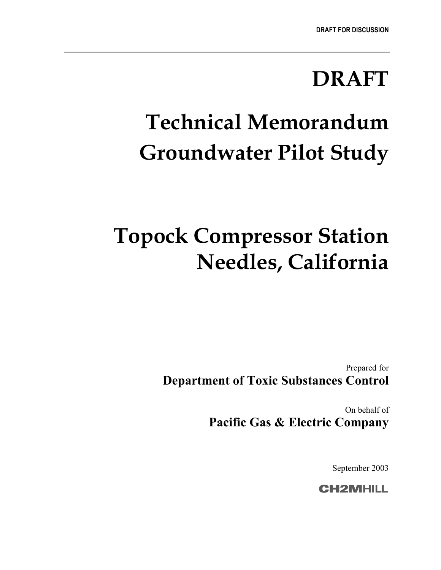## **DRAFT**

# **Technical Memorandum Groundwater Pilot Study**

# **Topock Compressor Station Needles, California**

Prepared for **Department of Toxic Substances Control**

> On behalf of **Pacific Gas & Electric Company**

> > September 2003

**CH2MHILL**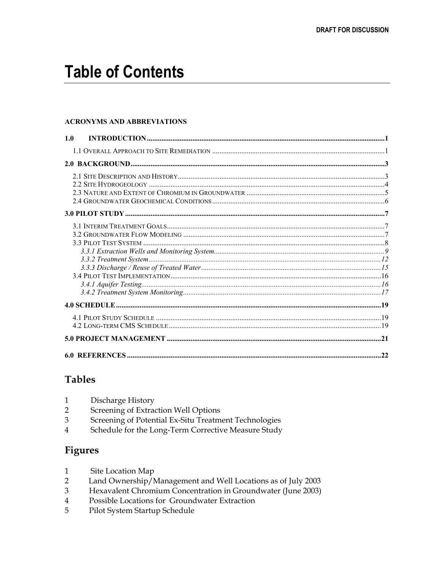## **Table of Contents**

#### **ACRONYMS AND ABBREVIATIONS**

| 1.0 |  |
|-----|--|
|     |  |
|     |  |
|     |  |
|     |  |
|     |  |
|     |  |
|     |  |
|     |  |
|     |  |

#### **Tables**

| Discharge History |  |
|-------------------|--|
|-------------------|--|

- $\overline{2}$ Screening of Extraction Well Options
- $\overline{3}$ Screening of Potential Ex-Situ Treatment Technologies
- $\overline{4}$ Schedule for the Long-Term Corrective Measure Study

#### **Figures**

- $\mathbf{1}$ Site Location Map
- Land Ownership/Management and Well Locations as of July 2003  $\overline{2}$
- Hexavalent Chromium Concentration in Groundwater (June 2003)  $\overline{3}$
- $\overline{4}$ Possible Locations for Groundwater Extraction
- 5 Pilot System Startup Schedule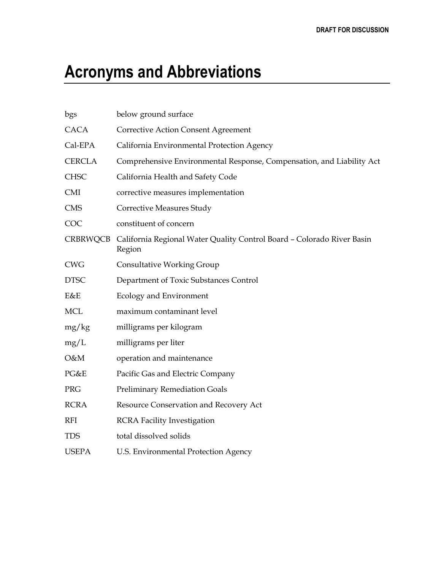## **Acronyms and Abbreviations**

| bgs           | below ground surface                                                             |
|---------------|----------------------------------------------------------------------------------|
| <b>CACA</b>   | <b>Corrective Action Consent Agreement</b>                                       |
| Cal-EPA       | California Environmental Protection Agency                                       |
| <b>CERCLA</b> | Comprehensive Environmental Response, Compensation, and Liability Act            |
| <b>CHSC</b>   | California Health and Safety Code                                                |
| <b>CMI</b>    | corrective measures implementation                                               |
| <b>CMS</b>    | <b>Corrective Measures Study</b>                                                 |
| COC           | constituent of concern                                                           |
| CRBRWQCB      | California Regional Water Quality Control Board - Colorado River Basin<br>Region |
| <b>CWG</b>    | <b>Consultative Working Group</b>                                                |
| <b>DTSC</b>   | Department of Toxic Substances Control                                           |
| E&E           | Ecology and Environment                                                          |
| $\rm MCL$     | maximum contaminant level                                                        |
| mg/kg         | milligrams per kilogram                                                          |
| mg/L          | milligrams per liter                                                             |
| O&M           | operation and maintenance                                                        |
| PG&E          | Pacific Gas and Electric Company                                                 |
| PRG           | <b>Preliminary Remediation Goals</b>                                             |
| <b>RCRA</b>   | Resource Conservation and Recovery Act                                           |
| <b>RFI</b>    | <b>RCRA Facility Investigation</b>                                               |
| <b>TDS</b>    | total dissolved solids                                                           |
| <b>USEPA</b>  | U.S. Environmental Protection Agency                                             |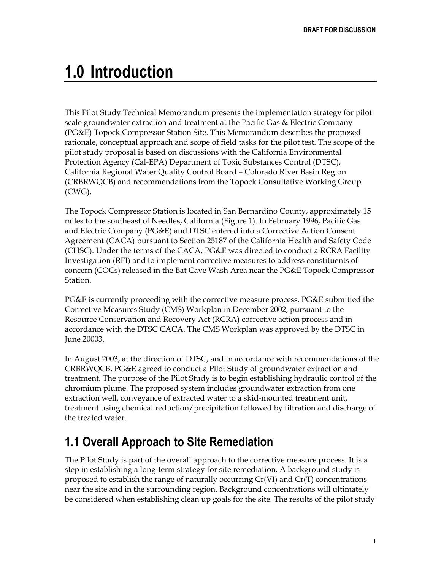## <span id="page-3-0"></span>**1.0 Introduction**

This Pilot Study Technical Memorandum presents the implementation strategy for pilot scale groundwater extraction and treatment at the Pacific Gas & Electric Company (PG&E) Topock Compressor Station Site. This Memorandum describes the proposed rationale, conceptual approach and scope of field tasks for the pilot test. The scope of the pilot study proposal is based on discussions with the California Environmental Protection Agency (Cal-EPA) Department of Toxic Substances Control (DTSC), California Regional Water Quality Control Board – Colorado River Basin Region (CRBRWQCB) and recommendations from the Topock Consultative Working Group (CWG).

The Topock Compressor Station is located in San Bernardino County, approximately 15 miles to the southeast of Needles, California (Figure 1). In February 1996, Pacific Gas and Electric Company (PG&E) and DTSC entered into a Corrective Action Consent Agreement (CACA) pursuant to Section 25187 of the California Health and Safety Code (CHSC). Under the terms of the CACA, PG&E was directed to conduct a RCRA Facility Investigation (RFI) and to implement corrective measures to address constituents of concern (COCs) released in the Bat Cave Wash Area near the PG&E Topock Compressor Station.

PG&E is currently proceeding with the corrective measure process. PG&E submitted the Corrective Measures Study (CMS) Workplan in December 2002, pursuant to the Resource Conservation and Recovery Act (RCRA) corrective action process and in accordance with the DTSC CACA. The CMS Workplan was approved by the DTSC in June 20003.

In August 2003, at the direction of DTSC, and in accordance with recommendations of the CRBRWQCB, PG&E agreed to conduct a Pilot Study of groundwater extraction and treatment. The purpose of the Pilot Study is to begin establishing hydraulic control of the chromium plume. The proposed system includes groundwater extraction from one extraction well, conveyance of extracted water to a skid-mounted treatment unit, treatment using chemical reduction/precipitation followed by filtration and discharge of the treated water.

### <span id="page-3-1"></span>**1.1 Overall Approach to Site Remediation**

The Pilot Study is part of the overall approach to the corrective measure process. It is a step in establishing a long-term strategy for site remediation. A background study is proposed to establish the range of naturally occurring  $Cr(VI)$  and  $Cr(T)$  concentrations near the site and in the surrounding region. Background concentrations will ultimately be considered when establishing clean up goals for the site. The results of the pilot study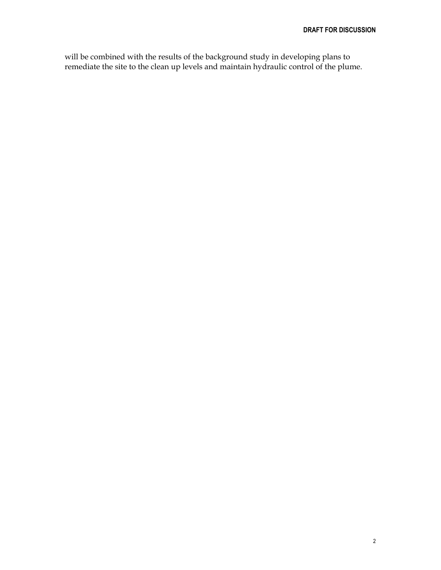will be combined with the results of the background study in developing plans to remediate the site to the clean up levels and maintain hydraulic control of the plume.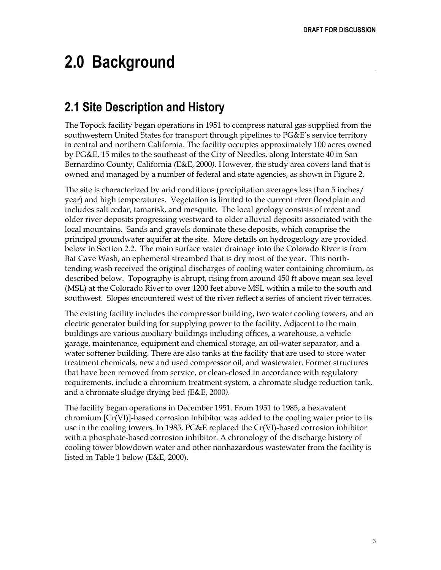## <span id="page-5-0"></span>**2.0 Background**

### <span id="page-5-1"></span>**2.1 Site Description and History**

The Topock facility began operations in 1951 to compress natural gas supplied from the southwestern United States for transport through pipelines to PG&E's service territory in central and northern California. The facility occupies approximately 100 acres owned by PG&E, 15 miles to the southeast of the City of Needles, along Interstate 40 in San Bernardino County, California *(*E&E, 2000*).* However, the study area covers land that is owned and managed by a number of federal and state agencies, as shown in Figure 2.

The site is characterized by arid conditions (precipitation averages less than 5 inches/ year) and high temperatures. Vegetation is limited to the current river floodplain and includes salt cedar, tamarisk, and mesquite. The local geology consists of recent and older river deposits progressing westward to older alluvial deposits associated with the local mountains. Sands and gravels dominate these deposits, which comprise the principal groundwater aquifer at the site. More details on hydrogeology are provided below in Section 2.2. The main surface water drainage into the Colorado River is from Bat Cave Wash, an ephemeral streambed that is dry most of the year. This northtending wash received the original discharges of cooling water containing chromium, as described below. Topography is abrupt, rising from around 450 ft above mean sea level (MSL) at the Colorado River to over 1200 feet above MSL within a mile to the south and southwest. Slopes encountered west of the river reflect a series of ancient river terraces.

The existing facility includes the compressor building, two water cooling towers, and an electric generator building for supplying power to the facility. Adjacent to the main buildings are various auxiliary buildings including offices, a warehouse, a vehicle garage, maintenance, equipment and chemical storage, an oil-water separator, and a water softener building. There are also tanks at the facility that are used to store water treatment chemicals, new and used compressor oil, and wastewater. Former structures that have been removed from service, or clean-closed in accordance with regulatory requirements, include a chromium treatment system, a chromate sludge reduction tank, and a chromate sludge drying bed *(*E&E, 2000*).*

The facility began operations in December 1951. From 1951 to 1985, a hexavalent chromium [Cr(VI)]-based corrosion inhibitor was added to the cooling water prior to its use in the cooling towers. In 1985, PG&E replaced the Cr(VI)-based corrosion inhibitor with a phosphate-based corrosion inhibitor. A chronology of the discharge history of cooling tower blowdown water and other nonhazardous wastewater from the facility is listed in Table 1 below (E&E, 2000).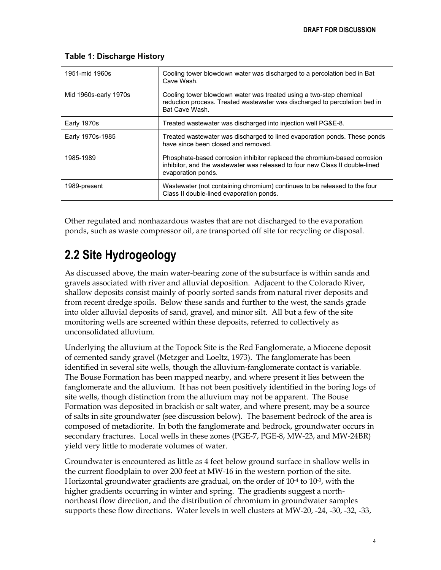| 1951-mid 1960s        | Cooling tower blowdown water was discharged to a percolation bed in Bat<br>Cave Wash.                                                                                           |  |
|-----------------------|---------------------------------------------------------------------------------------------------------------------------------------------------------------------------------|--|
| Mid 1960s-early 1970s | Cooling tower blowdown water was treated using a two-step chemical<br>reduction process. Treated wastewater was discharged to percolation bed in<br>Bat Cave Wash.              |  |
| Early 1970s           | Treated wastewater was discharged into injection well PG&E-8.                                                                                                                   |  |
| Early 1970s-1985      | Treated wastewater was discharged to lined evaporation ponds. These ponds<br>have since been closed and removed.                                                                |  |
| 1985-1989             | Phosphate-based corrosion inhibitor replaced the chromium-based corrosion<br>inhibitor, and the wastewater was released to four new Class II double-lined<br>evaporation ponds. |  |
| 1989-present          | Wastewater (not containing chromium) continues to be released to the four<br>Class II double-lined evaporation ponds.                                                           |  |

#### **Table 1: Discharge History**

Other regulated and nonhazardous wastes that are not discharged to the evaporation ponds, such as waste compressor oil, are transported off site for recycling or disposal.

### <span id="page-6-0"></span>**2.2 Site Hydrogeology**

As discussed above, the main water-bearing zone of the subsurface is within sands and gravels associated with river and alluvial deposition. Adjacent to the Colorado River, shallow deposits consist mainly of poorly sorted sands from natural river deposits and from recent dredge spoils. Below these sands and further to the west, the sands grade into older alluvial deposits of sand, gravel, and minor silt. All but a few of the site monitoring wells are screened within these deposits, referred to collectively as unconsolidated alluvium.

Underlying the alluvium at the Topock Site is the Red Fanglomerate, a Miocene deposit of cemented sandy gravel (Metzger and Loeltz, 1973). The fanglomerate has been identified in several site wells, though the alluvium-fanglomerate contact is variable. The Bouse Formation has been mapped nearby, and where present it lies between the fanglomerate and the alluvium. It has not been positively identified in the boring logs of site wells, though distinction from the alluvium may not be apparent. The Bouse Formation was deposited in brackish or salt water, and where present, may be a source of salts in site groundwater (see discussion below). The basement bedrock of the area is composed of metadiorite. In both the fanglomerate and bedrock, groundwater occurs in secondary fractures. Local wells in these zones (PGE-7, PGE-8, MW-23, and MW-24BR) yield very little to moderate volumes of water.

Groundwater is encountered as little as 4 feet below ground surface in shallow wells in the current floodplain to over 200 feet at MW-16 in the western portion of the site. Horizontal groundwater gradients are gradual, on the order of  $10^{-4}$  to  $10^{-3}$ , with the higher gradients occurring in winter and spring. The gradients suggest a northnortheast flow direction, and the distribution of chromium in groundwater samples supports these flow directions. Water levels in well clusters at MW-20, -24, -30, -32, -33,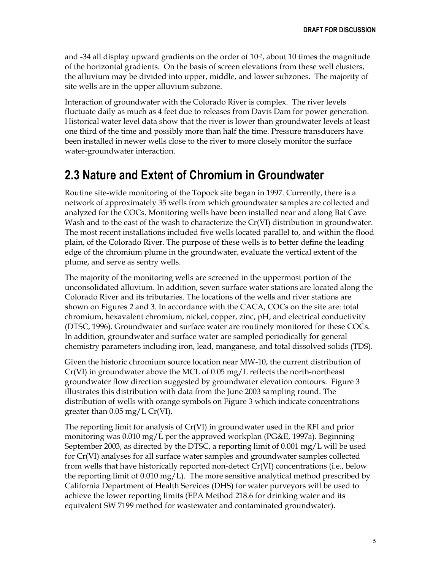and  $-34$  all display upward gradients on the order of  $10^{-2}$ , about 10 times the magnitude of the horizontal gradients. On the basis of screen elevations from these well clusters, the alluvium may be divided into upper, middle, and lower subzones. The majority of site wells are in the upper alluvium subzone.

Interaction of groundwater with the Colorado River is complex. The river levels fluctuate daily as much as 4 feet due to releases from Davis Dam for power generation. Historical water level data show that the river is lower than groundwater levels at least one third of the time and possibly more than half the time. Pressure transducers have been installed in newer wells close to the river to more closely monitor the surface water-groundwater interaction.

### <span id="page-7-0"></span>**2.3 Nature and Extent of Chromium in Groundwater**

Routine site-wide monitoring of the Topock site began in 1997. Currently, there is a network of approximately 35 wells from which groundwater samples are collected and analyzed for the COCs. Monitoring wells have been installed near and along Bat Cave Wash and to the east of the wash to characterize the Cr(VI) distribution in groundwater. The most recent installations included five wells located parallel to, and within the flood plain, of the Colorado River. The purpose of these wells is to better define the leading edge of the chromium plume in the groundwater, evaluate the vertical extent of the plume, and serve as sentry wells.

The majority of the monitoring wells are screened in the uppermost portion of the unconsolidated alluvium. In addition, seven surface water stations are located along the Colorado River and its tributaries. The locations of the wells and river stations are shown on Figures 2 and 3. In accordance with the CACA, COCs on the site are: total chromium, hexavalent chromium, nickel, copper, zinc, pH, and electrical conductivity (DTSC, 1996). Groundwater and surface water are routinely monitored for these COCs. In addition, groundwater and surface water are sampled periodically for general chemistry parameters including iron, lead, manganese, and total dissolved solids (TDS).

Given the historic chromium source location near MW-10, the current distribution of Cr(VI) in groundwater above the MCL of 0.05 mg/L reflects the north-northeast groundwater flow direction suggested by groundwater elevation contours. Figure 3 illustrates this distribution with data from the June 2003 sampling round. The distribution of wells with orange symbols on Figure 3 which indicate concentrations greater than 0.05 mg/L Cr(VI).

The reporting limit for analysis of Cr(VI) in groundwater used in the RFI and prior monitoring was 0.010 mg/L per the approved workplan (PG&E, 1997a). Beginning September 2003, as directed by the DTSC, a reporting limit of 0.001 mg/L will be used for Cr(VI) analyses for all surface water samples and groundwater samples collected from wells that have historically reported non-detect Cr(VI) concentrations (i.e., below the reporting limit of  $0.010 \,\mathrm{mg/L}$ . The more sensitive analytical method prescribed by California Department of Health Services (DHS) for water purveyors will be used to achieve the lower reporting limits (EPA Method 218.6 for drinking water and its equivalent SW 7199 method for wastewater and contaminated groundwater).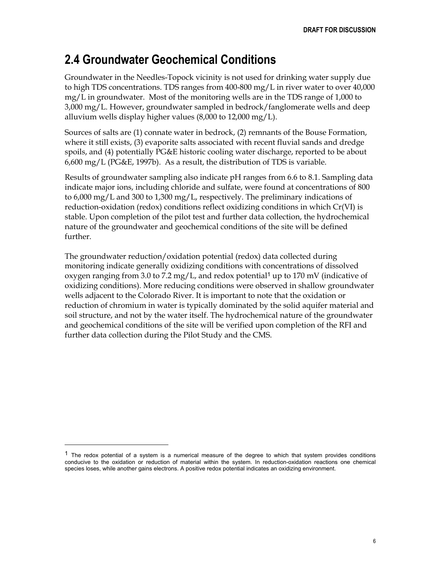### <span id="page-8-0"></span>**2.4 Groundwater Geochemical Conditions**

Groundwater in the Needles-Topock vicinity is not used for drinking water supply due to high TDS concentrations. TDS ranges from 400-800 mg/L in river water to over 40,000 mg/L in groundwater. Most of the monitoring wells are in the TDS range of 1,000 to 3,000 mg/L. However, groundwater sampled in bedrock/fanglomerate wells and deep alluvium wells display higher values (8,000 to 12,000 mg/L).

Sources of salts are (1) connate water in bedrock, (2) remnants of the Bouse Formation, where it still exists, (3) evaporite salts associated with recent fluvial sands and dredge spoils, and (4) potentially PG&E historic cooling water discharge, reported to be about 6,600 mg/L (PG&E, 1997b). As a result, the distribution of TDS is variable.

Results of groundwater sampling also indicate pH ranges from 6.6 to 8.1. Sampling data indicate major ions, including chloride and sulfate, were found at concentrations of 800 to 6,000 mg/L and 300 to 1,300 mg/L, respectively. The preliminary indications of reduction-oxidation (redox) conditions reflect oxidizing conditions in which Cr(VI) is stable. Upon completion of the pilot test and further data collection, the hydrochemical nature of the groundwater and geochemical conditions of the site will be defined further.

The groundwater reduction/oxidation potential (redox) data collected during monitoring indicate generally oxidizing conditions with concentrations of dissolved oxygen ranging from 3.0 to 7.2 mg/L, and redox potential<sup>[1](#page-8-1)</sup> up to 170 mV (indicative of oxidizing conditions). More reducing conditions were observed in shallow groundwater wells adjacent to the Colorado River. It is important to note that the oxidation or reduction of chromium in water is typically dominated by the solid aquifer material and soil structure, and not by the water itself. The hydrochemical nature of the groundwater and geochemical conditions of the site will be verified upon completion of the RFI and further data collection during the Pilot Study and the CMS.

 $\overline{a}$ 

<span id="page-8-1"></span> $1$  The redox potential of a system is a numerical measure of the degree to which that system provides conditions conducive to the oxidation or reduction of material within the system. In reduction-oxidation reactions one chemical species loses, while another gains electrons. A positive redox potential indicates an oxidizing environment.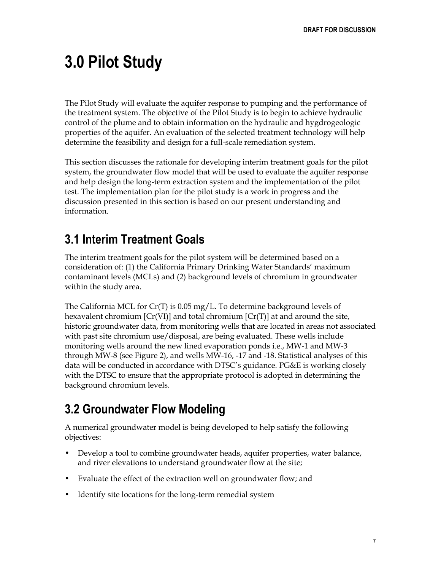## <span id="page-9-0"></span>**3.0 Pilot Study**

The Pilot Study will evaluate the aquifer response to pumping and the performance of the treatment system. The objective of the Pilot Study is to begin to achieve hydraulic control of the plume and to obtain information on the hydraulic and hygdrogeologic properties of the aquifer. An evaluation of the selected treatment technology will help determine the feasibility and design for a full-scale remediation system.

This section discusses the rationale for developing interim treatment goals for the pilot system, the groundwater flow model that will be used to evaluate the aquifer response and help design the long-term extraction system and the implementation of the pilot test. The implementation plan for the pilot study is a work in progress and the discussion presented in this section is based on our present understanding and information.

### <span id="page-9-1"></span>**3.1 Interim Treatment Goals**

The interim treatment goals for the pilot system will be determined based on a consideration of: (1) the California Primary Drinking Water Standards' maximum contaminant levels (MCLs) and (2) background levels of chromium in groundwater within the study area.

The California MCL for  $Cr(T)$  is 0.05 mg/L. To determine background levels of hexavalent chromium  $[Cr(VI)]$  and total chromium  $[Cr(T)]$  at and around the site, historic groundwater data, from monitoring wells that are located in areas not associated with past site chromium use/disposal, are being evaluated. These wells include monitoring wells around the new lined evaporation ponds i.e., MW-1 and MW-3 through MW-8 (see Figure 2), and wells MW-16, -17 and -18. Statistical analyses of this data will be conducted in accordance with DTSC's guidance. PG&E is working closely with the DTSC to ensure that the appropriate protocol is adopted in determining the background chromium levels.

### <span id="page-9-2"></span>**3.2 Groundwater Flow Modeling**

A numerical groundwater model is being developed to help satisfy the following objectives:

- Develop a tool to combine groundwater heads, aquifer properties, water balance, and river elevations to understand groundwater flow at the site;
- Evaluate the effect of the extraction well on groundwater flow; and
- Identify site locations for the long-term remedial system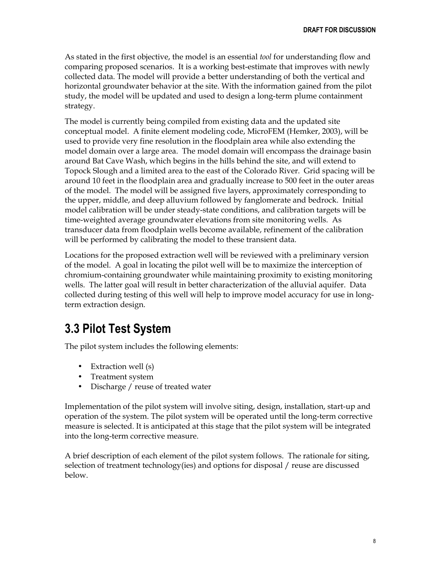As stated in the first objective, the model is an essential *tool* for understanding flow and comparing proposed scenarios. It is a working best-estimate that improves with newly collected data. The model will provide a better understanding of both the vertical and horizontal groundwater behavior at the site. With the information gained from the pilot study, the model will be updated and used to design a long-term plume containment strategy.

The model is currently being compiled from existing data and the updated site conceptual model. A finite element modeling code, MicroFEM (Hemker, 2003), will be used to provide very fine resolution in the floodplain area while also extending the model domain over a large area. The model domain will encompass the drainage basin around Bat Cave Wash, which begins in the hills behind the site, and will extend to Topock Slough and a limited area to the east of the Colorado River. Grid spacing will be around 10 feet in the floodplain area and gradually increase to 500 feet in the outer areas of the model. The model will be assigned five layers, approximately corresponding to the upper, middle, and deep alluvium followed by fanglomerate and bedrock. Initial model calibration will be under steady-state conditions, and calibration targets will be time-weighted average groundwater elevations from site monitoring wells. As transducer data from floodplain wells become available, refinement of the calibration will be performed by calibrating the model to these transient data.

Locations for the proposed extraction well will be reviewed with a preliminary version of the model. A goal in locating the pilot well will be to maximize the interception of chromium-containing groundwater while maintaining proximity to existing monitoring wells. The latter goal will result in better characterization of the alluvial aquifer. Data collected during testing of this well will help to improve model accuracy for use in longterm extraction design.

### <span id="page-10-0"></span>**3.3 Pilot Test System**

The pilot system includes the following elements:

- Extraction well (s)
- Treatment system
- Discharge / reuse of treated water

Implementation of the pilot system will involve siting, design, installation, start-up and operation of the system. The pilot system will be operated until the long-term corrective measure is selected. It is anticipated at this stage that the pilot system will be integrated into the long-term corrective measure.

A brief description of each element of the pilot system follows. The rationale for siting, selection of treatment technology(ies) and options for disposal / reuse are discussed below.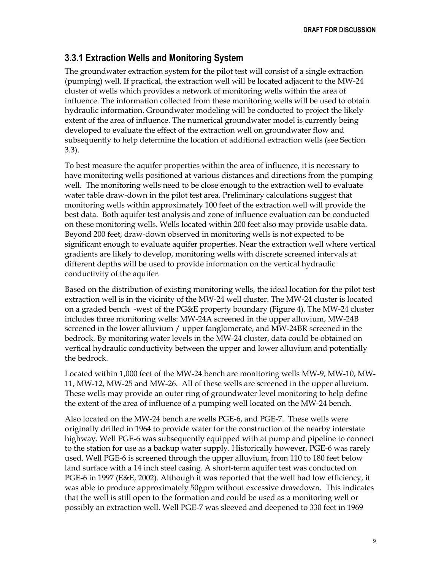#### <span id="page-11-0"></span>**3.3.1 Extraction Wells and Monitoring System**

The groundwater extraction system for the pilot test will consist of a single extraction (pumping) well. If practical, the extraction well will be located adjacent to the MW-24 cluster of wells which provides a network of monitoring wells within the area of influence. The information collected from these monitoring wells will be used to obtain hydraulic information. Groundwater modeling will be conducted to project the likely extent of the area of influence. The numerical groundwater model is currently being developed to evaluate the effect of the extraction well on groundwater flow and subsequently to help determine the location of additional extraction wells (see Section 3.3).

To best measure the aquifer properties within the area of influence, it is necessary to have monitoring wells positioned at various distances and directions from the pumping well. The monitoring wells need to be close enough to the extraction well to evaluate water table draw-down in the pilot test area. Preliminary calculations suggest that monitoring wells within approximately 100 feet of the extraction well will provide the best data. Both aquifer test analysis and zone of influence evaluation can be conducted on these monitoring wells. Wells located within 200 feet also may provide usable data. Beyond 200 feet, draw-down observed in monitoring wells is not expected to be significant enough to evaluate aquifer properties. Near the extraction well where vertical gradients are likely to develop, monitoring wells with discrete screened intervals at different depths will be used to provide information on the vertical hydraulic conductivity of the aquifer.

Based on the distribution of existing monitoring wells, the ideal location for the pilot test extraction well is in the vicinity of the MW-24 well cluster. The MW-24 cluster is located on a graded bench -west of the PG&E property boundary (Figure 4). The MW-24 cluster includes three monitoring wells: MW-24A screened in the upper alluvium, MW-24B screened in the lower alluvium / upper fanglomerate, and MW-24BR screened in the bedrock. By monitoring water levels in the MW-24 cluster, data could be obtained on vertical hydraulic conductivity between the upper and lower alluvium and potentially the bedrock.

Located within 1,000 feet of the MW-24 bench are monitoring wells MW-9, MW-10, MW-11, MW-12, MW-25 and MW-26. All of these wells are screened in the upper alluvium. These wells may provide an outer ring of groundwater level monitoring to help define the extent of the area of influence of a pumping well located on the MW-24 bench.

Also located on the MW-24 bench are wells PGE-6, and PGE-7. These wells were originally drilled in 1964 to provide water for the construction of the nearby interstate highway. Well PGE-6 was subsequently equipped with at pump and pipeline to connect to the station for use as a backup water supply. Historically however, PGE-6 was rarely used. Well PGE-6 is screened through the upper alluvium, from 110 to 180 feet below land surface with a 14 inch steel casing. A short-term aquifer test was conducted on PGE-6 in 1997 (E&E, 2002). Although it was reported that the well had low efficiency, it was able to produce approximately 50gpm without excessive drawdown. This indicates that the well is still open to the formation and could be used as a monitoring well or possibly an extraction well. Well PGE-7 was sleeved and deepened to 330 feet in 1969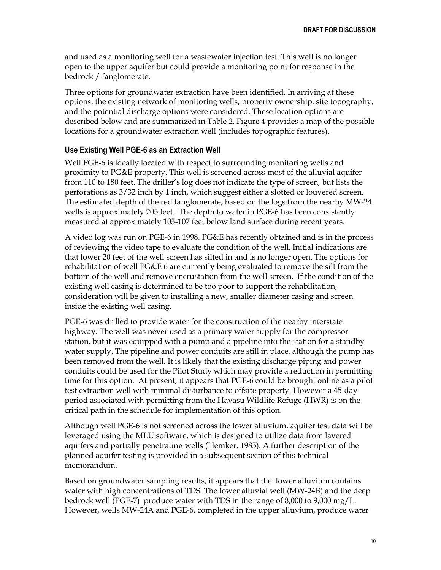and used as a monitoring well for a wastewater injection test. This well is no longer open to the upper aquifer but could provide a monitoring point for response in the bedrock / fanglomerate.

Three options for groundwater extraction have been identified. In arriving at these options, the existing network of monitoring wells, property ownership, site topography, and the potential discharge options were considered. These location options are described below and are summarized in Table 2. Figure 4 provides a map of the possible locations for a groundwater extraction well (includes topographic features).

#### **Use Existing Well PGE-6 as an Extraction Well**

Well PGE-6 is ideally located with respect to surrounding monitoring wells and proximity to PG&E property. This well is screened across most of the alluvial aquifer from 110 to 180 feet. The driller's log does not indicate the type of screen, but lists the perforations as 3/32 inch by 1 inch, which suggest either a slotted or louvered screen. The estimated depth of the red fanglomerate, based on the logs from the nearby MW-24 wells is approximately 205 feet. The depth to water in PGE-6 has been consistently measured at approximately 105-107 feet below land surface during recent years.

A video log was run on PGE-6 in 1998. PG&E has recently obtained and is in the process of reviewing the video tape to evaluate the condition of the well. Initial indications are that lower 20 feet of the well screen has silted in and is no longer open. The options for rehabilitation of well PG&E 6 are currently being evaluated to remove the silt from the bottom of the well and remove encrustation from the well screen. If the condition of the existing well casing is determined to be too poor to support the rehabilitation, consideration will be given to installing a new, smaller diameter casing and screen inside the existing well casing.

PGE-6 was drilled to provide water for the construction of the nearby interstate highway. The well was never used as a primary water supply for the compressor station, but it was equipped with a pump and a pipeline into the station for a standby water supply. The pipeline and power conduits are still in place, although the pump has been removed from the well. It is likely that the existing discharge piping and power conduits could be used for the Pilot Study which may provide a reduction in permitting time for this option. At present, it appears that PGE-6 could be brought online as a pilot test extraction well with minimal disturbance to offsite property. However a 45-day period associated with permitting from the Havasu Wildlife Refuge (HWR) is on the critical path in the schedule for implementation of this option.

Although well PGE-6 is not screened across the lower alluvium, aquifer test data will be leveraged using the MLU software, which is designed to utilize data from layered aquifers and partially penetrating wells (Hemker, 1985). A further description of the planned aquifer testing is provided in a subsequent section of this technical memorandum.

Based on groundwater sampling results, it appears that the lower alluvium contains water with high concentrations of TDS. The lower alluvial well (MW-24B) and the deep bedrock well (PGE-7) produce water with TDS in the range of 8,000 to 9,000 mg/L. However, wells MW-24A and PGE-6, completed in the upper alluvium, produce water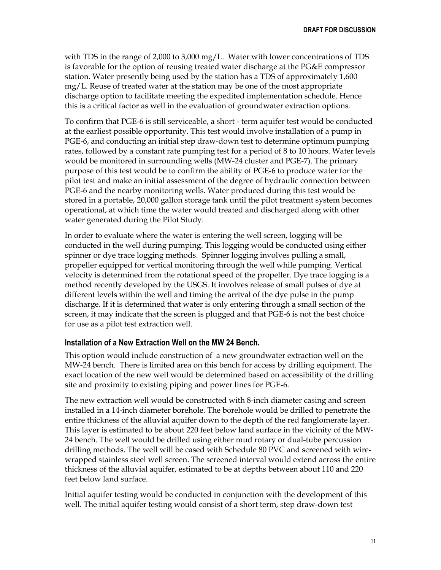with TDS in the range of 2,000 to 3,000 mg/L. Water with lower concentrations of TDS is favorable for the option of reusing treated water discharge at the PG&E compressor station. Water presently being used by the station has a TDS of approximately 1,600 mg/L. Reuse of treated water at the station may be one of the most appropriate discharge option to facilitate meeting the expedited implementation schedule. Hence this is a critical factor as well in the evaluation of groundwater extraction options.

To confirm that PGE-6 is still serviceable, a short - term aquifer test would be conducted at the earliest possible opportunity. This test would involve installation of a pump in PGE-6, and conducting an initial step draw-down test to determine optimum pumping rates, followed by a constant rate pumping test for a period of 8 to 10 hours. Water levels would be monitored in surrounding wells (MW-24 cluster and PGE-7). The primary purpose of this test would be to confirm the ability of PGE-6 to produce water for the pilot test and make an initial assessment of the degree of hydraulic connection between PGE-6 and the nearby monitoring wells. Water produced during this test would be stored in a portable, 20,000 gallon storage tank until the pilot treatment system becomes operational, at which time the water would treated and discharged along with other water generated during the Pilot Study.

In order to evaluate where the water is entering the well screen, logging will be conducted in the well during pumping. This logging would be conducted using either spinner or dye trace logging methods. Spinner logging involves pulling a small, propeller equipped for vertical monitoring through the well while pumping. Vertical velocity is determined from the rotational speed of the propeller. Dye trace logging is a method recently developed by the USGS. It involves release of small pulses of dye at different levels within the well and timing the arrival of the dye pulse in the pump discharge. If it is determined that water is only entering through a small section of the screen, it may indicate that the screen is plugged and that PGE-6 is not the best choice for use as a pilot test extraction well.

#### **Installation of a New Extraction Well on the MW 24 Bench.**

This option would include construction of a new groundwater extraction well on the MW-24 bench. There is limited area on this bench for access by drilling equipment. The exact location of the new well would be determined based on accessibility of the drilling site and proximity to existing piping and power lines for PGE-6.

The new extraction well would be constructed with 8-inch diameter casing and screen installed in a 14-inch diameter borehole. The borehole would be drilled to penetrate the entire thickness of the alluvial aquifer down to the depth of the red fanglomerate layer. This layer is estimated to be about 220 feet below land surface in the vicinity of the MW-24 bench. The well would be drilled using either mud rotary or dual-tube percussion drilling methods. The well will be cased with Schedule 80 PVC and screened with wirewrapped stainless steel well screen. The screened interval would extend across the entire thickness of the alluvial aquifer, estimated to be at depths between about 110 and 220 feet below land surface.

Initial aquifer testing would be conducted in conjunction with the development of this well. The initial aquifer testing would consist of a short term, step draw-down test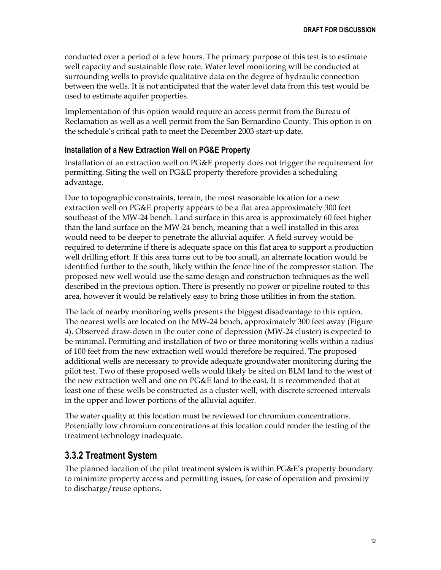conducted over a period of a few hours. The primary purpose of this test is to estimate well capacity and sustainable flow rate. Water level monitoring will be conducted at surrounding wells to provide qualitative data on the degree of hydraulic connection between the wells. It is not anticipated that the water level data from this test would be used to estimate aquifer properties.

Implementation of this option would require an access permit from the Bureau of Reclamation as well as a well permit from the San Bernardino County. This option is on the schedule's critical path to meet the December 2003 start-up date.

#### **Installation of a New Extraction Well on PG&E Property**

Installation of an extraction well on PG&E property does not trigger the requirement for permitting. Siting the well on PG&E property therefore provides a scheduling advantage.

Due to topographic constraints, terrain, the most reasonable location for a new extraction well on PG&E property appears to be a flat area approximately 300 feet southeast of the MW-24 bench. Land surface in this area is approximately 60 feet higher than the land surface on the MW-24 bench, meaning that a well installed in this area would need to be deeper to penetrate the alluvial aquifer. A field survey would be required to determine if there is adequate space on this flat area to support a production well drilling effort. If this area turns out to be too small, an alternate location would be identified further to the south, likely within the fence line of the compressor station. The proposed new well would use the same design and construction techniques as the well described in the previous option. There is presently no power or pipeline routed to this area, however it would be relatively easy to bring those utilities in from the station.

The lack of nearby monitoring wells presents the biggest disadvantage to this option. The nearest wells are located on the MW-24 bench, approximately 300 feet away (Figure 4). Observed draw-down in the outer cone of depression (MW-24 cluster) is expected to be minimal. Permitting and installation of two or three monitoring wells within a radius of 100 feet from the new extraction well would therefore be required. The proposed additional wells are necessary to provide adequate groundwater monitoring during the pilot test. Two of these proposed wells would likely be sited on BLM land to the west of the new extraction well and one on PG&E land to the east. It is recommended that at least one of these wells be constructed as a cluster well, with discrete screened intervals in the upper and lower portions of the alluvial aquifer.

The water quality at this location must be reviewed for chromium concentrations. Potentially low chromium concentrations at this location could render the testing of the treatment technology inadequate.

#### <span id="page-14-0"></span>**3.3.2 Treatment System**

The planned location of the pilot treatment system is within PG&E's property boundary to minimize property access and permitting issues, for ease of operation and proximity to discharge/reuse options.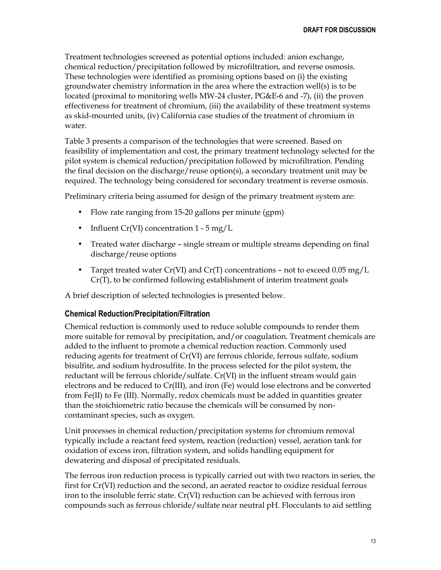Treatment technologies screened as potential options included: anion exchange, chemical reduction/precipitation followed by microfiltration, and reverse osmosis. These technologies were identified as promising options based on (i) the existing groundwater chemistry information in the area where the extraction well(s) is to be located (proximal to monitoring wells MW-24 cluster, PG&E-6 and -7), (ii) the proven effectiveness for treatment of chromium, (iii) the availability of these treatment systems as skid-mounted units, (iv) California case studies of the treatment of chromium in water.

Table 3 presents a comparison of the technologies that were screened. Based on feasibility of implementation and cost, the primary treatment technology selected for the pilot system is chemical reduction/precipitation followed by microfiltration. Pending the final decision on the discharge/reuse option(s), a secondary treatment unit may be required. The technology being considered for secondary treatment is reverse osmosis.

Preliminary criteria being assumed for design of the primary treatment system are:

- Flow rate ranging from 15-20 gallons per minute (gpm)
- Influent  $Cr(VI)$  concentration 1 5 mg/L
- Treated water discharge single stream or multiple streams depending on final discharge/reuse options
- Target treated water  $Cr(VI)$  and  $Cr(T)$  concentrations not to exceed 0.05 mg/L Cr(T), to be confirmed following establishment of interim treatment goals

A brief description of selected technologies is presented below.

#### **Chemical Reduction/Precipitation/Filtration**

Chemical reduction is commonly used to reduce soluble compounds to render them more suitable for removal by precipitation, and/or coagulation. Treatment chemicals are added to the influent to promote a chemical reduction reaction. Commonly used reducing agents for treatment of Cr(VI) are ferrous chloride, ferrous sulfate, sodium bisulfite, and sodium hydrosulfite. In the process selected for the pilot system, the reductant will be ferrous chloride/sulfate. Cr(VI) in the influent stream would gain electrons and be reduced to Cr(III), and iron (Fe) would lose electrons and be converted from Fe(II) to Fe (III). Normally, redox chemicals must be added in quantities greater than the stoichiometric ratio because the chemicals will be consumed by noncontaminant species, such as oxygen.

Unit processes in chemical reduction/precipitation systems for chromium removal typically include a reactant feed system, reaction (reduction) vessel, aeration tank for oxidation of excess iron, filtration system, and solids handling equipment for dewatering and disposal of precipitated residuals.

The ferrous iron reduction process is typically carried out with two reactors in series, the first for Cr(VI) reduction and the second, an aerated reactor to oxidize residual ferrous iron to the insoluble ferric state. Cr(VI) reduction can be achieved with ferrous iron compounds such as ferrous chloride/sulfate near neutral pH. Flocculants to aid settling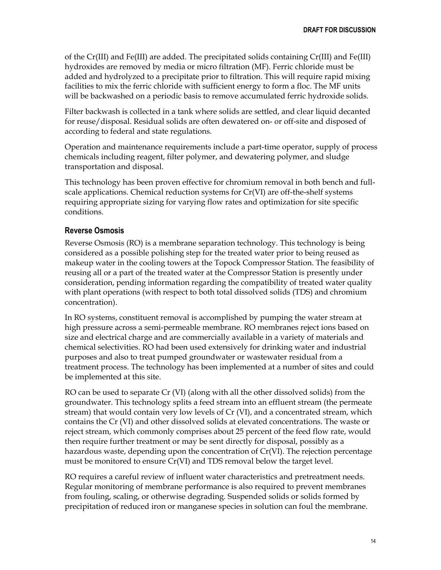of the Cr(III) and Fe(III) are added. The precipitated solids containing Cr(III) and Fe(III) hydroxides are removed by media or micro filtration (MF). Ferric chloride must be added and hydrolyzed to a precipitate prior to filtration. This will require rapid mixing facilities to mix the ferric chloride with sufficient energy to form a floc. The MF units will be backwashed on a periodic basis to remove accumulated ferric hydroxide solids.

Filter backwash is collected in a tank where solids are settled, and clear liquid decanted for reuse/disposal. Residual solids are often dewatered on- or off-site and disposed of according to federal and state regulations.

Operation and maintenance requirements include a part-time operator, supply of process chemicals including reagent, filter polymer, and dewatering polymer, and sludge transportation and disposal.

This technology has been proven effective for chromium removal in both bench and fullscale applications. Chemical reduction systems for Cr(VI) are off-the-shelf systems requiring appropriate sizing for varying flow rates and optimization for site specific conditions.

#### **Reverse Osmosis**

Reverse Osmosis (RO) is a membrane separation technology. This technology is being considered as a possible polishing step for the treated water prior to being reused as makeup water in the cooling towers at the Topock Compressor Station. The feasibility of reusing all or a part of the treated water at the Compressor Station is presently under consideration, pending information regarding the compatibility of treated water quality with plant operations (with respect to both total dissolved solids (TDS) and chromium concentration).

In RO systems, constituent removal is accomplished by pumping the water stream at high pressure across a semi-permeable membrane. RO membranes reject ions based on size and electrical charge and are commercially available in a variety of materials and chemical selectivities. RO had been used extensively for drinking water and industrial purposes and also to treat pumped groundwater or wastewater residual from a treatment process. The technology has been implemented at a number of sites and could be implemented at this site.

RO can be used to separate Cr (VI) (along with all the other dissolved solids) from the groundwater. This technology splits a feed stream into an effluent stream (the permeate stream) that would contain very low levels of Cr (VI), and a concentrated stream, which contains the Cr (VI) and other dissolved solids at elevated concentrations. The waste or reject stream, which commonly comprises about 25 percent of the feed flow rate, would then require further treatment or may be sent directly for disposal, possibly as a hazardous waste, depending upon the concentration of Cr(VI). The rejection percentage must be monitored to ensure Cr(VI) and TDS removal below the target level.

RO requires a careful review of influent water characteristics and pretreatment needs. Regular monitoring of membrane performance is also required to prevent membranes from fouling, scaling, or otherwise degrading. Suspended solids or solids formed by precipitation of reduced iron or manganese species in solution can foul the membrane.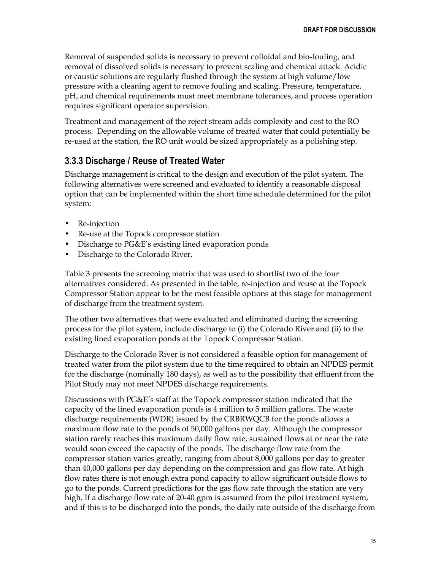Removal of suspended solids is necessary to prevent colloidal and bio-fouling, and removal of dissolved solids is necessary to prevent scaling and chemical attack. Acidic or caustic solutions are regularly flushed through the system at high volume/low pressure with a cleaning agent to remove fouling and scaling. Pressure, temperature, pH, and chemical requirements must meet membrane tolerances, and process operation requires significant operator supervision.

Treatment and management of the reject stream adds complexity and cost to the RO process. Depending on the allowable volume of treated water that could potentially be re-used at the station, the RO unit would be sized appropriately as a polishing step.

#### <span id="page-17-0"></span>**3.3.3 Discharge / Reuse of Treated Water**

Discharge management is critical to the design and execution of the pilot system. The following alternatives were screened and evaluated to identify a reasonable disposal option that can be implemented within the short time schedule determined for the pilot system:

- Re-injection
- Re-use at the Topock compressor station
- Discharge to PG&E's existing lined evaporation ponds
- Discharge to the Colorado River.

Table 3 presents the screening matrix that was used to shortlist two of the four alternatives considered. As presented in the table, re-injection and reuse at the Topock Compressor Station appear to be the most feasible options at this stage for management of discharge from the treatment system.

The other two alternatives that were evaluated and eliminated during the screening process for the pilot system, include discharge to (i) the Colorado River and (ii) to the existing lined evaporation ponds at the Topock Compressor Station.

Discharge to the Colorado River is not considered a feasible option for management of treated water from the pilot system due to the time required to obtain an NPDES permit for the discharge (nominally 180 days), as well as to the possibility that effluent from the Pilot Study may not meet NPDES discharge requirements.

Discussions with PG&E's staff at the Topock compressor station indicated that the capacity of the lined evaporation ponds is 4 million to 5 million gallons. The waste discharge requirements (WDR) issued by the CRBRWQCB for the ponds allows a maximum flow rate to the ponds of 50,000 gallons per day. Although the compressor station rarely reaches this maximum daily flow rate, sustained flows at or near the rate would soon exceed the capacity of the ponds. The discharge flow rate from the compressor station varies greatly, ranging from about 8,000 gallons per day to greater than 40,000 gallons per day depending on the compression and gas flow rate. At high flow rates there is not enough extra pond capacity to allow significant outside flows to go to the ponds. Current predictions for the gas flow rate through the station are very high. If a discharge flow rate of 20-40 gpm is assumed from the pilot treatment system, and if this is to be discharged into the ponds, the daily rate outside of the discharge from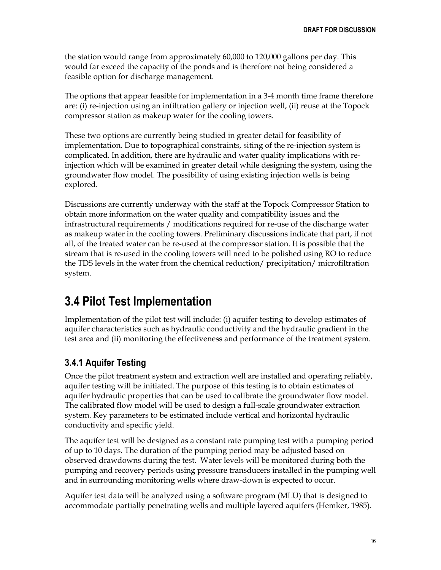the station would range from approximately 60,000 to 120,000 gallons per day. This would far exceed the capacity of the ponds and is therefore not being considered a feasible option for discharge management.

The options that appear feasible for implementation in a 3-4 month time frame therefore are: (i) re-injection using an infiltration gallery or injection well, (ii) reuse at the Topock compressor station as makeup water for the cooling towers.

These two options are currently being studied in greater detail for feasibility of implementation. Due to topographical constraints, siting of the re-injection system is complicated. In addition, there are hydraulic and water quality implications with reinjection which will be examined in greater detail while designing the system, using the groundwater flow model. The possibility of using existing injection wells is being explored.

Discussions are currently underway with the staff at the Topock Compressor Station to obtain more information on the water quality and compatibility issues and the infrastructural requirements / modifications required for re-use of the discharge water as makeup water in the cooling towers. Preliminary discussions indicate that part, if not all, of the treated water can be re-used at the compressor station. It is possible that the stream that is re-used in the cooling towers will need to be polished using RO to reduce the TDS levels in the water from the chemical reduction/ precipitation/ microfiltration system.

### <span id="page-18-0"></span>**3.4 Pilot Test Implementation**

Implementation of the pilot test will include: (i) aquifer testing to develop estimates of aquifer characteristics such as hydraulic conductivity and the hydraulic gradient in the test area and (ii) monitoring the effectiveness and performance of the treatment system.

#### <span id="page-18-1"></span>**3.4.1 Aquifer Testing**

Once the pilot treatment system and extraction well are installed and operating reliably, aquifer testing will be initiated. The purpose of this testing is to obtain estimates of aquifer hydraulic properties that can be used to calibrate the groundwater flow model. The calibrated flow model will be used to design a full-scale groundwater extraction system. Key parameters to be estimated include vertical and horizontal hydraulic conductivity and specific yield.

The aquifer test will be designed as a constant rate pumping test with a pumping period of up to 10 days. The duration of the pumping period may be adjusted based on observed drawdowns during the test. Water levels will be monitored during both the pumping and recovery periods using pressure transducers installed in the pumping well and in surrounding monitoring wells where draw-down is expected to occur.

Aquifer test data will be analyzed using a software program (MLU) that is designed to accommodate partially penetrating wells and multiple layered aquifers (Hemker, 1985).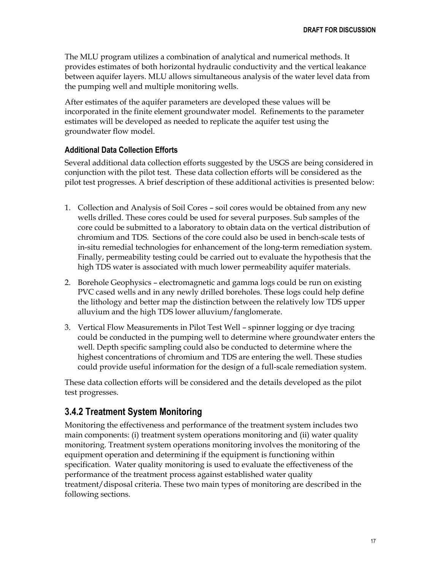The MLU program utilizes a combination of analytical and numerical methods. It provides estimates of both horizontal hydraulic conductivity and the vertical leakance between aquifer layers. MLU allows simultaneous analysis of the water level data from the pumping well and multiple monitoring wells.

After estimates of the aquifer parameters are developed these values will be incorporated in the finite element groundwater model. Refinements to the parameter estimates will be developed as needed to replicate the aquifer test using the groundwater flow model.

#### **Additional Data Collection Efforts**

Several additional data collection efforts suggested by the USGS are being considered in conjunction with the pilot test. These data collection efforts will be considered as the pilot test progresses. A brief description of these additional activities is presented below:

- 1. Collection and Analysis of Soil Cores soil cores would be obtained from any new wells drilled. These cores could be used for several purposes. Sub samples of the core could be submitted to a laboratory to obtain data on the vertical distribution of chromium and TDS. Sections of the core could also be used in bench-scale tests of in-situ remedial technologies for enhancement of the long-term remediation system. Finally, permeability testing could be carried out to evaluate the hypothesis that the high TDS water is associated with much lower permeability aquifer materials.
- 2. Borehole Geophysics electromagnetic and gamma logs could be run on existing PVC cased wells and in any newly drilled boreholes. These logs could help define the lithology and better map the distinction between the relatively low TDS upper alluvium and the high TDS lower alluvium/fanglomerate.
- 3. Vertical Flow Measurements in Pilot Test Well spinner logging or dye tracing could be conducted in the pumping well to determine where groundwater enters the well. Depth specific sampling could also be conducted to determine where the highest concentrations of chromium and TDS are entering the well. These studies could provide useful information for the design of a full-scale remediation system.

These data collection efforts will be considered and the details developed as the pilot test progresses.

#### <span id="page-19-0"></span>**3.4.2 Treatment System Monitoring**

Monitoring the effectiveness and performance of the treatment system includes two main components: (i) treatment system operations monitoring and (ii) water quality monitoring. Treatment system operations monitoring involves the monitoring of the equipment operation and determining if the equipment is functioning within specification. Water quality monitoring is used to evaluate the effectiveness of the performance of the treatment process against established water quality treatment/disposal criteria. These two main types of monitoring are described in the following sections.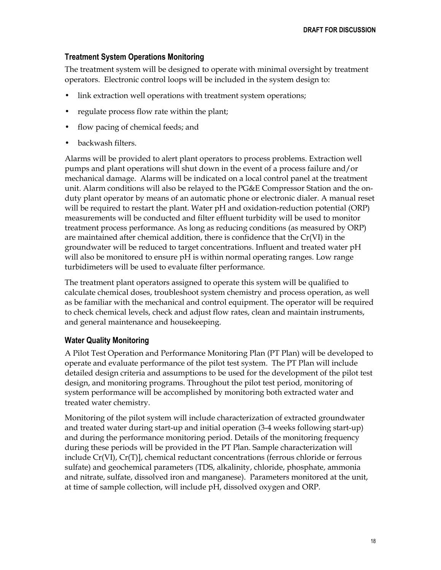#### **Treatment System Operations Monitoring**

The treatment system will be designed to operate with minimal oversight by treatment operators. Electronic control loops will be included in the system design to:

- link extraction well operations with treatment system operations;
- regulate process flow rate within the plant;
- flow pacing of chemical feeds; and
- backwash filters.

Alarms will be provided to alert plant operators to process problems. Extraction well pumps and plant operations will shut down in the event of a process failure and/or mechanical damage. Alarms will be indicated on a local control panel at the treatment unit. Alarm conditions will also be relayed to the PG&E Compressor Station and the onduty plant operator by means of an automatic phone or electronic dialer. A manual reset will be required to restart the plant. Water pH and oxidation-reduction potential (ORP) measurements will be conducted and filter effluent turbidity will be used to monitor treatment process performance. As long as reducing conditions (as measured by ORP) are maintained after chemical addition, there is confidence that the Cr(VI) in the groundwater will be reduced to target concentrations. Influent and treated water pH will also be monitored to ensure pH is within normal operating ranges. Low range turbidimeters will be used to evaluate filter performance.

The treatment plant operators assigned to operate this system will be qualified to calculate chemical doses, troubleshoot system chemistry and process operation, as well as be familiar with the mechanical and control equipment. The operator will be required to check chemical levels, check and adjust flow rates, clean and maintain instruments, and general maintenance and housekeeping.

#### **Water Quality Monitoring**

A Pilot Test Operation and Performance Monitoring Plan (PT Plan) will be developed to operate and evaluate performance of the pilot test system. The PT Plan will include detailed design criteria and assumptions to be used for the development of the pilot test design, and monitoring programs. Throughout the pilot test period, monitoring of system performance will be accomplished by monitoring both extracted water and treated water chemistry.

Monitoring of the pilot system will include characterization of extracted groundwater and treated water during start-up and initial operation (3-4 weeks following start-up) and during the performance monitoring period. Details of the monitoring frequency during these periods will be provided in the PT Plan. Sample characterization will include Cr(VI), Cr(T)], chemical reductant concentrations (ferrous chloride or ferrous sulfate) and geochemical parameters (TDS, alkalinity, chloride, phosphate, ammonia and nitrate, sulfate, dissolved iron and manganese). Parameters monitored at the unit, at time of sample collection, will include pH, dissolved oxygen and ORP.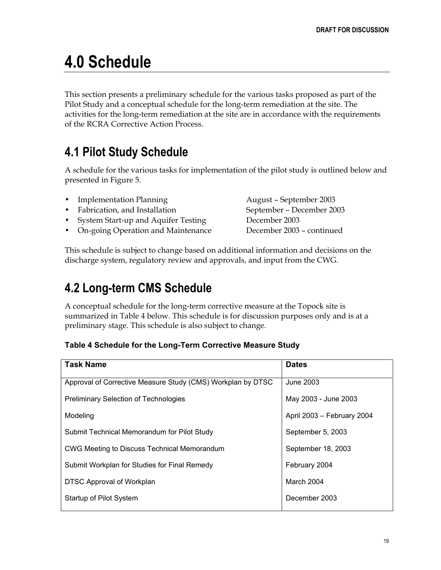## <span id="page-21-0"></span>**4.0 Schedule**

This section presents a preliminary schedule for the various tasks proposed as part of the Pilot Study and a conceptual schedule for the long-term remediation at the site. The activities for the long-term remediation at the site are in accordance with the requirements of the RCRA Corrective Action Process.

## <span id="page-21-1"></span>**4.1 Pilot Study Schedule**

A schedule for the various tasks for implementation of the pilot study is outlined below and presented in Figure 5.

- Implementation Planning and August September 2003
- Fabrication, and Installation September December 2003
- System Start-up and Aquifer Testing December 2003
- On-going Operation and Maintenance December 2003 continued

This schedule is subject to change based on additional information and decisions on the discharge system, regulatory review and approvals, and input from the CWG.

## <span id="page-21-2"></span>**4.2 Long-term CMS Schedule**

A conceptual schedule for the long-term corrective measure at the Topock site is summarized in Table 4 below. This schedule is for discussion purposes only and is at a preliminary stage. This schedule is also subject to change.

#### **Table 4 Schedule for the Long-Term Corrective Measure Study**

| <b>Task Name</b>                                            | <b>Dates</b>               |
|-------------------------------------------------------------|----------------------------|
| Approval of Corrective Measure Study (CMS) Workplan by DTSC | June 2003                  |
| <b>Preliminary Selection of Technologies</b>                | May 2003 - June 2003       |
| Modeling                                                    | April 2003 - February 2004 |
| Submit Technical Memorandum for Pilot Study                 | September 5, 2003          |
| CWG Meeting to Discuss Technical Memorandum                 | September 18, 2003         |
| Submit Workplan for Studies for Final Remedy                | February 2004              |
| DTSC Approval of Workplan                                   | March 2004                 |
| Startup of Pilot System                                     | December 2003              |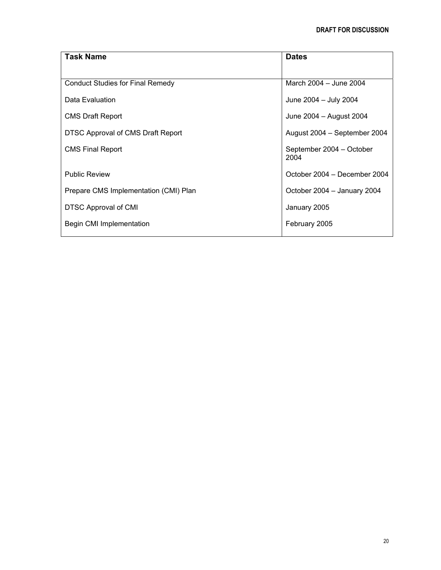| <b>Task Name</b>                        | <b>Dates</b>                     |
|-----------------------------------------|----------------------------------|
|                                         |                                  |
| <b>Conduct Studies for Final Remedy</b> | March 2004 - June 2004           |
| Data Evaluation                         | June 2004 - July 2004            |
| <b>CMS Draft Report</b>                 | June 2004 - August 2004          |
| DTSC Approval of CMS Draft Report       | August 2004 – September 2004     |
| <b>CMS Final Report</b>                 | September 2004 - October<br>2004 |
| <b>Public Review</b>                    | October 2004 – December 2004     |
| Prepare CMS Implementation (CMI) Plan   | October 2004 - January 2004      |
| DTSC Approval of CMI                    | January 2005                     |
| Begin CMI Implementation                | February 2005                    |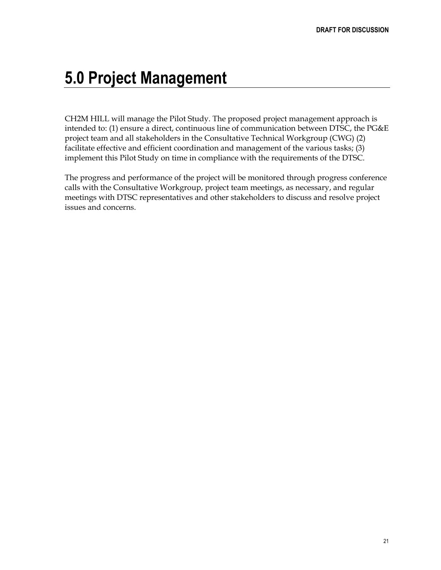## <span id="page-23-0"></span>**5.0 Project Management**

CH2M HILL will manage the Pilot Study. The proposed project management approach is intended to: (1) ensure a direct, continuous line of communication between DTSC, the PG&E project team and all stakeholders in the Consultative Technical Workgroup (CWG) (2) facilitate effective and efficient coordination and management of the various tasks; (3) implement this Pilot Study on time in compliance with the requirements of the DTSC.

The progress and performance of the project will be monitored through progress conference calls with the Consultative Workgroup, project team meetings, as necessary, and regular meetings with DTSC representatives and other stakeholders to discuss and resolve project issues and concerns.